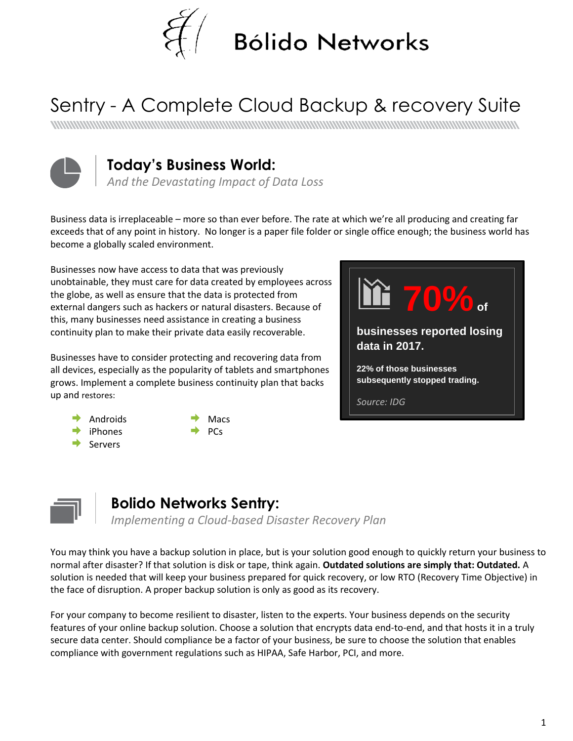

# Sentry - A Complete Cloud Backup & recovery Suite



#### **Today's Business World:**

*And the Devastating Impact of Data Loss*

Business data is irreplaceable – more so than ever before. The rate at which we're all producing and creating far exceeds that of any point in history. No longer is a paper file folder or single office enough; the business world has become a globally scaled environment.

Businesses now have access to data that was previously unobtainable, they must care for data created by employees across the globe, as well as ensure that the data is protected from external dangers such as hackers or natural disasters. Because of this, many businesses need assistance in creating a business continuity plan to make their private data easily recoverable.

Businesses have to consider protecting and recovering data from all devices, especially as the popularity of tablets and smartphones grows. Implement a complete business continuity plan that backs up and restores:



- Androids
	- iPhones
- Servers
- Macs
- 
- 
- PCs



#### **Bolido Networks Sentry:**

*Implementing a Cloud-based Disaster Recovery Plan*

You may think you have a backup solution in place, but is your solution good enough to quickly return your business to normal after disaster? If that solution is disk or tape, think again. **Outdated solutions are simply that: Outdated.** A solution is needed that will keep your business prepared for quick recovery, or low RTO (Recovery Time Objective) in the face of disruption. A proper backup solution is only as good as its recovery.

For your company to become resilient to disaster, listen to the experts. Your business depends on the security features of your online backup solution. Choose a solution that encrypts data end-to-end, and that hosts it in a truly secure data center. Should compliance be a factor of your business, be sure to choose the solution that enables compliance with government regulations such as HIPAA, Safe Harbor, PCI, and more.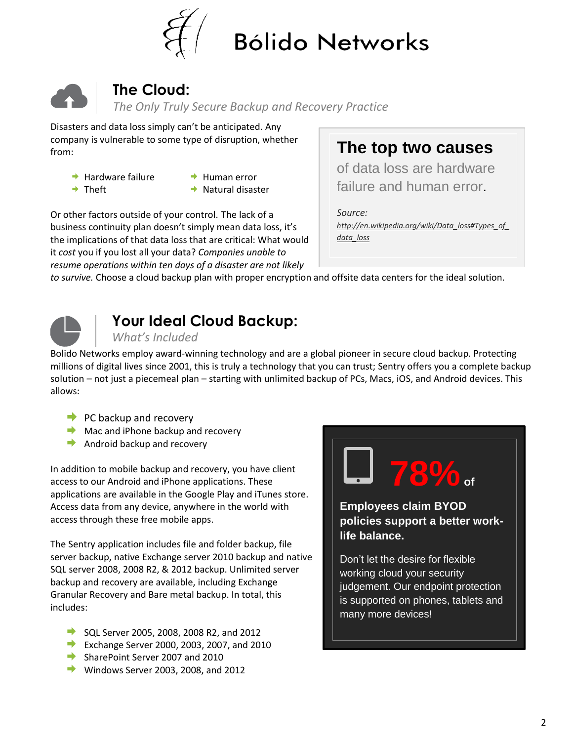



## **The Cloud:**

*The Only Truly Secure Backup and Recovery Practice*

Disasters and data loss simply can't be anticipated. Any company is vulnerable to some type of disruption, whether from:

- $\rightarrow$  Hardware failure
- $\rightarrow$  Theft
- $\rightarrow$  Human error
- $\rightarrow$  Natural disaster

Or other factors outside of your control. The lack of a business continuity plan doesn't simply mean data loss, it's the implications of that data loss that are critical: What would it *cost* you if you lost all your data? *Companies unable to resume operations within ten days of a disaster are not likely* 

**The top two causes**

of data loss are hardware failure and human error.

*Source: [http://en.wikipedia.org/wiki/Data\\_loss#Types\\_of\\_](http://en.wikipedia.org/wiki/Data_loss#Types_of_data_loss) [data\\_loss](http://en.wikipedia.org/wiki/Data_loss#Types_of_data_loss)*

*to survive.* Choose a cloud backup plan with proper encryption and offsite data centers for the ideal solution.



# **Your Ideal Cloud Backup:**

*What's Included*

Bolido Networks employ award-winning technology and are a global pioneer in secure cloud backup. Protecting millions of digital lives since 2001, this is truly a technology that you can trust; Sentry offers you a complete backup solution – not just a piecemeal plan – starting with unlimited backup of PCs, Macs, iOS, and Android devices. This allows:

- $\rightarrow$  PC backup and recovery
- $\blacktriangleright$  Mac and iPhone backup and recovery
- $\rightarrow$  Android backup and recovery

In addition to mobile backup and recovery, you have client access to our Android and iPhone applications. These applications are available in the Google Play and iTunes store. Access data from any device, anywhere in the world with access through these free mobile apps.

The Sentry application includes file and folder backup, file server backup, native Exchange server 2010 backup and native SQL server 2008, 2008 R2, & 2012 backup. Unlimited server backup and recovery are available, including Exchange Granular Recovery and Bare metal backup. In total, this includes:

- SQL Server 2005, 2008, 2008 R2, and 2012
- Exchange Server 2000, 2003, 2007, and 2010
- SharePoint Server 2007 and 2010
- $\blacktriangleright$  Windows Server 2003, 2008, and 2012



**Employees claim BYOD policies support a better worklife balance.** 

Don't let the desire for flexible working cloud your security judgement. Our endpoint protection is supported on phones, tablets and many more devices!